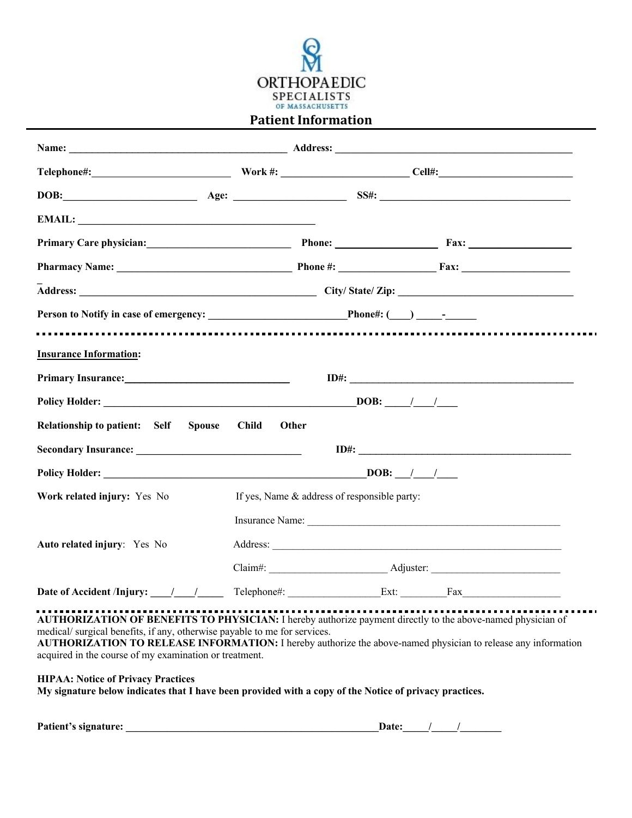

## **Patient Information**

| Primary Care physician: Phone: Phone: Fax: Fax:                     |                       |                                              |                      |  |
|---------------------------------------------------------------------|-----------------------|----------------------------------------------|----------------------|--|
|                                                                     |                       |                                              |                      |  |
|                                                                     |                       |                                              |                      |  |
| Person to Notify in case of emergency: Phone#: (CO) CONSECTION      |                       |                                              |                      |  |
|                                                                     |                       |                                              |                      |  |
| <b>Insurance Information:</b>                                       |                       |                                              |                      |  |
| Primary Insurance: New York Changes and Security Primary Insurance: |                       |                                              | ID#:                 |  |
|                                                                     |                       |                                              |                      |  |
| Relationship to patient: Self<br><b>Spouse</b>                      | <b>Child</b><br>Other |                                              |                      |  |
|                                                                     |                       |                                              | ID#:                 |  |
|                                                                     |                       |                                              |                      |  |
| Work related injury: Yes No                                         |                       | If yes, Name & address of responsible party: |                      |  |
|                                                                     |                       |                                              | Insurance Name:      |  |
| Auto related injury: Yes No                                         |                       |                                              | Address:             |  |
|                                                                     |                       |                                              |                      |  |
| Date of Accident /Injury: $\frac{1}{\sqrt{1-\frac{1}{2}}}$          |                       |                                              | Telephone#: Ext: Fax |  |

**AUTHORIZATION OF BENEFITS TO PHYSICIAN:** I hereby authorize payment directly to the above-named physician of medical/ surgical benefits, if any, otherwise payable to me for services.

**AUTHORIZATION TO RELEASE INFORMATION:** I hereby authorize the above-named physician to release any information acquired in the course of my examination or treatment.

**HIPAA: Notice of Privacy Practices**

**My signature below indicates that I have been provided with a copy of the Notice of privacy practices.**

| <b>Patient's signature:</b> | Date: |  |
|-----------------------------|-------|--|
|                             |       |  |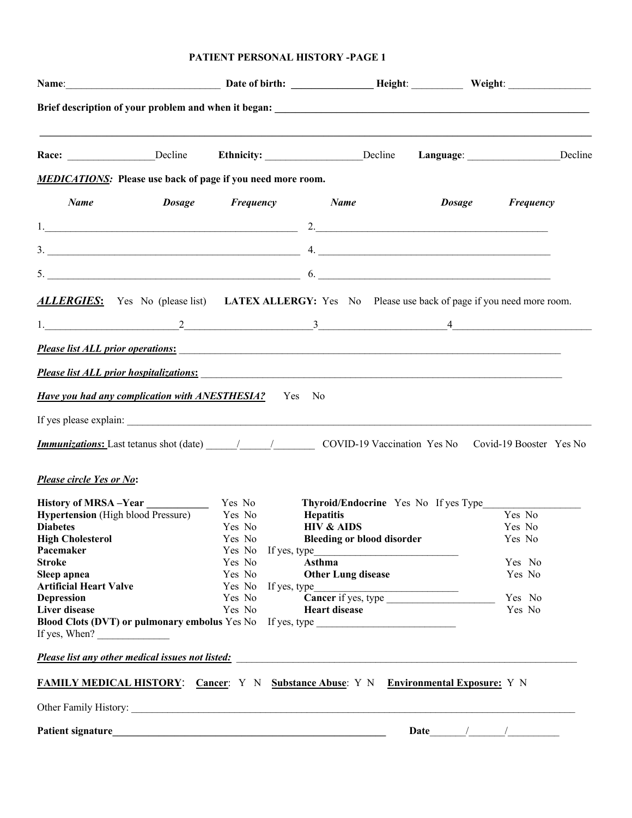## **PATIENT PERSONAL HISTORY -PAGE 1**

|                                                                                                                                                                                                                                                                                                                                                                                                                       |                       | Name: Weight: Name: Weight: New York New York New York New York New York New York New York New York New York New York New York New York New York New York New York New York New York New York New York New York New York New Y |                                                                                                                                                                                                                                                                                                                        |                  |
|-----------------------------------------------------------------------------------------------------------------------------------------------------------------------------------------------------------------------------------------------------------------------------------------------------------------------------------------------------------------------------------------------------------------------|-----------------------|--------------------------------------------------------------------------------------------------------------------------------------------------------------------------------------------------------------------------------|------------------------------------------------------------------------------------------------------------------------------------------------------------------------------------------------------------------------------------------------------------------------------------------------------------------------|------------------|
|                                                                                                                                                                                                                                                                                                                                                                                                                       |                       |                                                                                                                                                                                                                                |                                                                                                                                                                                                                                                                                                                        |                  |
|                                                                                                                                                                                                                                                                                                                                                                                                                       |                       | Race: ________________Decline Ethnicity: _______________Decline Language: ______________Decline                                                                                                                                |                                                                                                                                                                                                                                                                                                                        |                  |
| <b>MEDICATIONS:</b> Please use back of page if you need more room.                                                                                                                                                                                                                                                                                                                                                    |                       |                                                                                                                                                                                                                                |                                                                                                                                                                                                                                                                                                                        |                  |
| Name                                                                                                                                                                                                                                                                                                                                                                                                                  | Dosage Frequency Name |                                                                                                                                                                                                                                | <b>Dosage</b>                                                                                                                                                                                                                                                                                                          | Frequency        |
|                                                                                                                                                                                                                                                                                                                                                                                                                       |                       | $\begin{array}{c}\n2. & \phantom{2\sqrt{3}}\n\end{array}$                                                                                                                                                                      |                                                                                                                                                                                                                                                                                                                        |                  |
|                                                                                                                                                                                                                                                                                                                                                                                                                       |                       | $3.$ $4.$                                                                                                                                                                                                                      |                                                                                                                                                                                                                                                                                                                        |                  |
|                                                                                                                                                                                                                                                                                                                                                                                                                       |                       | $5.$ 6.                                                                                                                                                                                                                        |                                                                                                                                                                                                                                                                                                                        |                  |
|                                                                                                                                                                                                                                                                                                                                                                                                                       |                       | <b>ALLERGIES:</b> Yes No (please list) LATEX ALLERGY: Yes No Please use back of page if you need more room.                                                                                                                    |                                                                                                                                                                                                                                                                                                                        |                  |
|                                                                                                                                                                                                                                                                                                                                                                                                                       |                       | $1.$ $2.$                                                                                                                                                                                                                      |                                                                                                                                                                                                                                                                                                                        |                  |
|                                                                                                                                                                                                                                                                                                                                                                                                                       |                       | Please list ALL prior operations:                                                                                                                                                                                              |                                                                                                                                                                                                                                                                                                                        |                  |
|                                                                                                                                                                                                                                                                                                                                                                                                                       |                       | Please list ALL prior hospitalizations: expression of the set of the set of the set of the set of the set of the set of the set of the set of the set of the set of the set of the set of the set of the set of the set of the |                                                                                                                                                                                                                                                                                                                        |                  |
| <b>Have you had any complication with ANESTHESIA?</b> Yes No                                                                                                                                                                                                                                                                                                                                                          |                       |                                                                                                                                                                                                                                |                                                                                                                                                                                                                                                                                                                        |                  |
|                                                                                                                                                                                                                                                                                                                                                                                                                       |                       |                                                                                                                                                                                                                                |                                                                                                                                                                                                                                                                                                                        |                  |
|                                                                                                                                                                                                                                                                                                                                                                                                                       |                       | <b>Immunizations:</b> Last tetanus shot (date) 11 11 12 COVID-19 Vaccination Yes No Covid-19 Booster Yes No                                                                                                                    |                                                                                                                                                                                                                                                                                                                        |                  |
|                                                                                                                                                                                                                                                                                                                                                                                                                       |                       |                                                                                                                                                                                                                                |                                                                                                                                                                                                                                                                                                                        |                  |
| Please circle Yes or No:                                                                                                                                                                                                                                                                                                                                                                                              |                       |                                                                                                                                                                                                                                |                                                                                                                                                                                                                                                                                                                        |                  |
| History of MRSA - Year                                                                                                                                                                                                                                                                                                                                                                                                | Yes No                | Thyroid/Endocrine Yes No If yes Type                                                                                                                                                                                           |                                                                                                                                                                                                                                                                                                                        |                  |
| <b>Hypertension</b> (High blood Pressure)                                                                                                                                                                                                                                                                                                                                                                             | Yes No                | Hepatitis                                                                                                                                                                                                                      |                                                                                                                                                                                                                                                                                                                        | Yes No           |
| <b>Diabetes</b>                                                                                                                                                                                                                                                                                                                                                                                                       | Yes No                | <b>HIV &amp; AIDS</b>                                                                                                                                                                                                          |                                                                                                                                                                                                                                                                                                                        | Yes No           |
| <b>High Cholesterol</b>                                                                                                                                                                                                                                                                                                                                                                                               | Yes No                | <b>Bleeding or blood disorder</b>                                                                                                                                                                                              |                                                                                                                                                                                                                                                                                                                        | Yes No           |
| Pacemaker                                                                                                                                                                                                                                                                                                                                                                                                             |                       |                                                                                                                                                                                                                                |                                                                                                                                                                                                                                                                                                                        |                  |
| <b>Stroke</b><br>Sleep apnea                                                                                                                                                                                                                                                                                                                                                                                          | Yes No<br>Yes No      | Asthma<br><b>Other Lung disease</b>                                                                                                                                                                                            |                                                                                                                                                                                                                                                                                                                        | Yes No<br>Yes No |
| <b>Artificial Heart Valve</b>                                                                                                                                                                                                                                                                                                                                                                                         |                       |                                                                                                                                                                                                                                |                                                                                                                                                                                                                                                                                                                        |                  |
| <b>Depression</b>                                                                                                                                                                                                                                                                                                                                                                                                     |                       |                                                                                                                                                                                                                                |                                                                                                                                                                                                                                                                                                                        | Yes No           |
| Liver disease                                                                                                                                                                                                                                                                                                                                                                                                         | Yes No                | <b>Heart disease</b>                                                                                                                                                                                                           |                                                                                                                                                                                                                                                                                                                        | Yes No           |
|                                                                                                                                                                                                                                                                                                                                                                                                                       |                       | Blood Clots (DVT) or pulmonary embolus Yes No If yes, type _____________________                                                                                                                                               |                                                                                                                                                                                                                                                                                                                        |                  |
| If yes, When? $\frac{1}{\sqrt{1-\frac{1}{\sqrt{1-\frac{1}{\sqrt{1-\frac{1}{\sqrt{1-\frac{1}{\sqrt{1-\frac{1}{\sqrt{1-\frac{1}{\sqrt{1-\frac{1}{\sqrt{1-\frac{1}{\sqrt{1-\frac{1}{\sqrt{1-\frac{1}{\sqrt{1-\frac{1}{\sqrt{1-\frac{1}{\sqrt{1-\frac{1}{\sqrt{1-\frac{1}{\sqrt{1-\frac{1}{\sqrt{1-\frac{1}{\sqrt{1-\frac{1}{\sqrt{1-\frac{1}{\sqrt{1-\frac{1}{\sqrt{1-\frac{1}{\sqrt{1-\frac{1}{\sqrt{1-\frac{1}{\sqrt{$ |                       |                                                                                                                                                                                                                                |                                                                                                                                                                                                                                                                                                                        |                  |
|                                                                                                                                                                                                                                                                                                                                                                                                                       |                       | Please list any other medical issues not listed: example and contact the set of the set of the set of the set of the set of the set of the set of the set of the set of the set of the set of the set of the set of the set of |                                                                                                                                                                                                                                                                                                                        |                  |
|                                                                                                                                                                                                                                                                                                                                                                                                                       |                       | <b>FAMILY MEDICAL HISTORY:</b> Cancer: Y N Substance Abuse: Y N Environmental Exposure: Y N                                                                                                                                    |                                                                                                                                                                                                                                                                                                                        |                  |
|                                                                                                                                                                                                                                                                                                                                                                                                                       |                       |                                                                                                                                                                                                                                |                                                                                                                                                                                                                                                                                                                        |                  |
|                                                                                                                                                                                                                                                                                                                                                                                                                       |                       |                                                                                                                                                                                                                                | Date $\frac{1}{2}$ $\frac{1}{2}$ $\frac{1}{2}$ $\frac{1}{2}$ $\frac{1}{2}$ $\frac{1}{2}$ $\frac{1}{2}$ $\frac{1}{2}$ $\frac{1}{2}$ $\frac{1}{2}$ $\frac{1}{2}$ $\frac{1}{2}$ $\frac{1}{2}$ $\frac{1}{2}$ $\frac{1}{2}$ $\frac{1}{2}$ $\frac{1}{2}$ $\frac{1}{2}$ $\frac{1}{2}$ $\frac{1}{2}$ $\frac{1}{2}$ $\frac{1}{$ |                  |
|                                                                                                                                                                                                                                                                                                                                                                                                                       |                       |                                                                                                                                                                                                                                |                                                                                                                                                                                                                                                                                                                        |                  |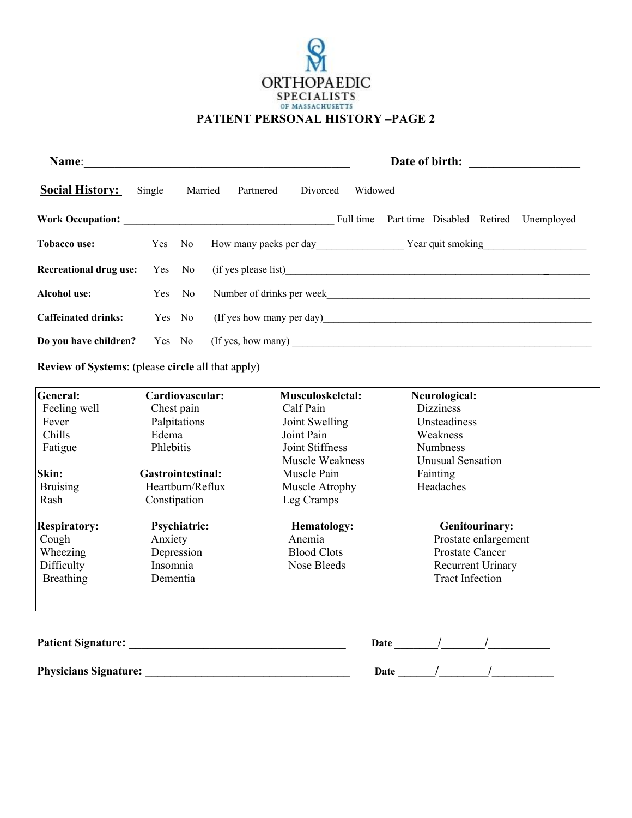

| Name:                      | Date of birth: |         |                                                                                   |  |
|----------------------------|----------------|---------|-----------------------------------------------------------------------------------|--|
| <b>Social History:</b>     | Single         | Married | Widowed<br>Partnered<br>Divorced                                                  |  |
| Work Occupation:           |                |         | Part time Disabled Retired<br>Full time<br>Unemployed                             |  |
| Tobacco use:               |                |         | Year quit smoking Year quit smoking                                               |  |
|                            |                |         | <b>Recreational drug use:</b> Yes No (if yes please list)                         |  |
| <b>Alcohol use:</b>        |                | Yes No  |                                                                                   |  |
| <b>Caffeinated drinks:</b> |                | Yes No  | (If yes how many per day)                                                         |  |
|                            |                |         | Do you have children? Yes No (If yes, how many) _________________________________ |  |

**Review of Systems**: (please **circle** all that apply)

| <b>General:</b>              | Cardiovascular:                                                                                                                                                                                                               | Musculoskeletal:   | Neurological:            |
|------------------------------|-------------------------------------------------------------------------------------------------------------------------------------------------------------------------------------------------------------------------------|--------------------|--------------------------|
| Feeling well                 | Chest pain                                                                                                                                                                                                                    | Calf Pain          | <b>Dizziness</b>         |
| Fever                        | Palpitations                                                                                                                                                                                                                  | Joint Swelling     | Unsteadiness             |
| Chills                       | Edema                                                                                                                                                                                                                         | Joint Pain         | Weakness                 |
| Fatigue                      | Phlebitis                                                                                                                                                                                                                     | Joint Stiffness    | <b>Numbness</b>          |
|                              |                                                                                                                                                                                                                               | Muscle Weakness    | <b>Unusual Sensation</b> |
| Skin:                        | <b>Gastrointestinal:</b>                                                                                                                                                                                                      | Muscle Pain        | Fainting                 |
| <b>Bruising</b>              | Heartburn/Reflux                                                                                                                                                                                                              | Muscle Atrophy     | Headaches                |
| Rash                         | Constipation                                                                                                                                                                                                                  | Leg Cramps         |                          |
| <b>Respiratory:</b>          | <b>Psychiatric:</b>                                                                                                                                                                                                           | <b>Hematology:</b> | <b>Genitourinary:</b>    |
| Cough                        | Anxiety                                                                                                                                                                                                                       | Anemia             | Prostate enlargement     |
| Wheezing                     | Depression                                                                                                                                                                                                                    | <b>Blood Clots</b> | Prostate Cancer          |
| Difficulty                   | Insomnia                                                                                                                                                                                                                      | Nose Bleeds        | Recurrent Urinary        |
| <b>Breathing</b>             | Dementia                                                                                                                                                                                                                      |                    | <b>Tract Infection</b>   |
|                              | Patient Signature: New York Changes and School School of the School School School School School School School School School School School School School School School School School School School School School School School |                    | Date /                   |
| <b>Physicians Signature:</b> |                                                                                                                                                                                                                               |                    | Date                     |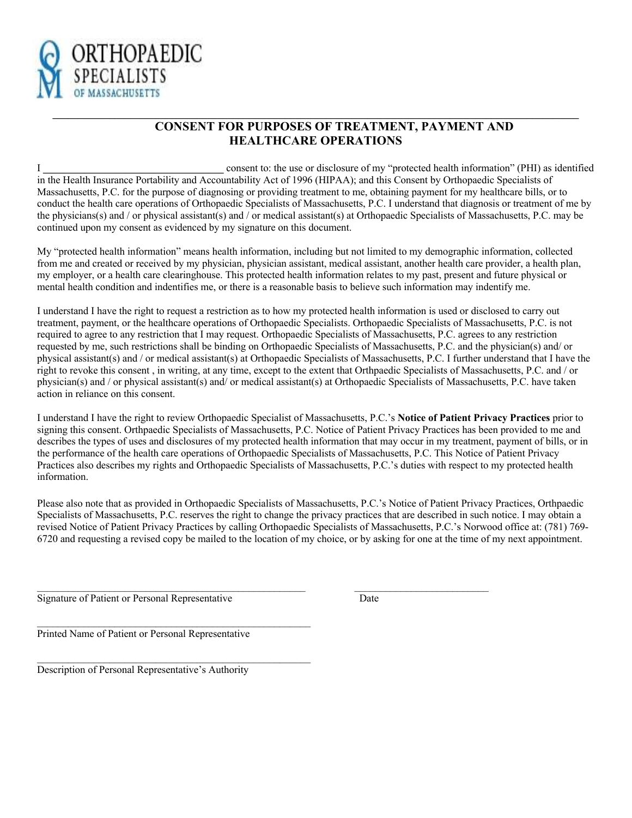

## **CONSENT FOR PURPOSES OF TREATMENT, PAYMENT AND HEALTHCARE OPERATIONS**

I **\_\_\_\_\_\_\_\_\_\_\_\_\_\_\_\_\_\_\_\_\_\_\_\_\_\_\_\_\_\_\_\_\_\_\_** consent to: the use or disclosure of my "protected health information" (PHI) as identified in the Health Insurance Portability and Accountability Act of 1996 (HIPAA); and this Consent by Orthopaedic Specialists of Massachusetts, P.C. for the purpose of diagnosing or providing treatment to me, obtaining payment for my healthcare bills, or to conduct the health care operations of Orthopaedic Specialists of Massachusetts, P.C. I understand that diagnosis or treatment of me by the physicians(s) and / or physical assistant(s) and / or medical assistant(s) at Orthopaedic Specialists of Massachusetts, P.C. may be continued upon my consent as evidenced by my signature on this document.

**\_\_\_\_\_\_\_\_\_\_\_\_\_\_\_\_\_\_\_\_\_\_\_\_\_\_\_\_\_\_\_\_\_\_\_\_\_\_\_\_\_\_\_\_\_\_\_\_\_\_\_\_\_\_\_\_\_\_\_\_\_\_\_\_\_\_\_\_\_\_\_\_\_\_\_\_\_\_\_\_\_\_\_\_\_\_\_\_\_\_\_\_\_\_\_\_\_\_\_\_\_\_**

My "protected health information" means health information, including but not limited to my demographic information, collected from me and created or received by my physician, physician assistant, medical assistant, another health care provider, a health plan, my employer, or a health care clearinghouse. This protected health information relates to my past, present and future physical or mental health condition and indentifies me, or there is a reasonable basis to believe such information may indentify me.

I understand I have the right to request a restriction as to how my protected health information is used or disclosed to carry out treatment, payment, or the healthcare operations of Orthopaedic Specialists. Orthopaedic Specialists of Massachusetts, P.C. is not required to agree to any restriction that I may request. Orthopaedic Specialists of Massachusetts, P.C. agrees to any restriction requested by me, such restrictions shall be binding on Orthopaedic Specialists of Massachusetts, P.C. and the physician(s) and/ or physical assistant(s) and / or medical assistant(s) at Orthopaedic Specialists of Massachusetts, P.C. I further understand that I have the right to revoke this consent , in writing, at any time, except to the extent that Orthpaedic Specialists of Massachusetts, P.C. and / or physician(s) and / or physical assistant(s) and/ or medical assistant(s) at Orthopaedic Specialists of Massachusetts, P.C. have taken action in reliance on this consent.

I understand I have the right to review Orthopaedic Specialist of Massachusetts, P.C.'s **Notice of Patient Privacy Practices** prior to signing this consent. Orthpaedic Specialists of Massachusetts, P.C. Notice of Patient Privacy Practices has been provided to me and describes the types of uses and disclosures of my protected health information that may occur in my treatment, payment of bills, or in the performance of the health care operations of Orthopaedic Specialists of Massachusetts, P.C. This Notice of Patient Privacy Practices also describes my rights and Orthopaedic Specialists of Massachusetts, P.C.'s duties with respect to my protected health information.

Please also note that as provided in Orthopaedic Specialists of Massachusetts, P.C.'s Notice of Patient Privacy Practices, Orthpaedic Specialists of Massachusetts, P.C. reserves the right to change the privacy practices that are described in such notice. I may obtain a revised Notice of Patient Privacy Practices by calling Orthopaedic Specialists of Massachusetts, P.C.'s Norwood office at: (781) 769- 6720 and requesting a revised copy be mailed to the location of my choice, or by asking for one at the time of my next appointment.

 $\mathcal{L}_\text{max}$ 

Signature of Patient or Personal Representative Date

Printed Name of Patient or Personal Representative

 $\mathcal{L}_\text{max}$  and the contract of the contract of the contract of the contract of the contract of the contract of the contract of the contract of the contract of the contract of the contract of the contract of the contrac

 $\mathcal{L}_\text{max}$  and  $\mathcal{L}_\text{max}$  and  $\mathcal{L}_\text{max}$  and  $\mathcal{L}_\text{max}$  and  $\mathcal{L}_\text{max}$ 

Description of Personal Representative's Authority